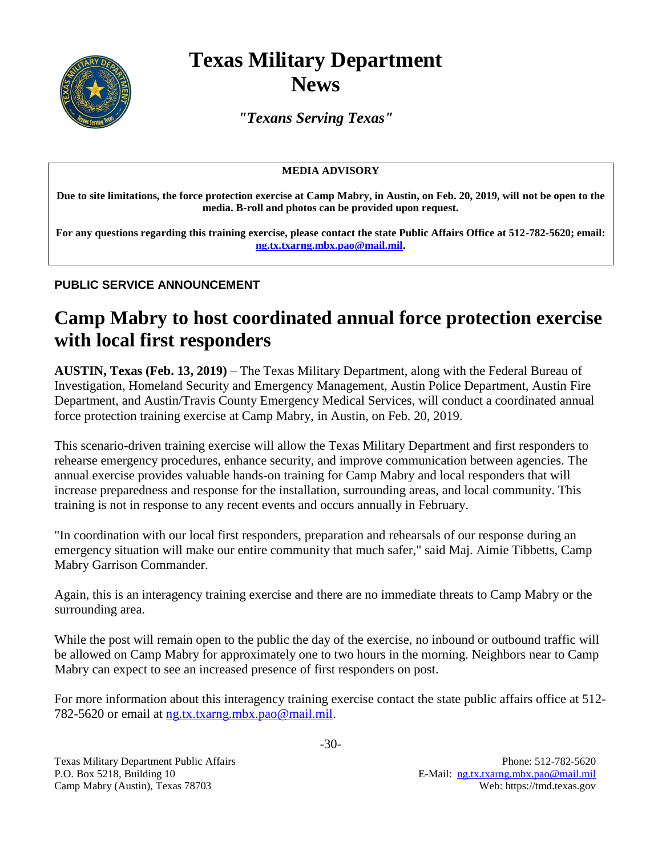

## **Texas Military Department News**

*"Texans Serving Texas"*

## **MEDIA ADVISORY**

**Due to site limitations, the force protection exercise at Camp Mabry, in Austin, on Feb. 20, 2019, will not be open to the media. B-roll and photos can be provided upon request.**

**For any questions regarding this training exercise, please contact the state Public Affairs Office at 512-782-5620; email: [ng.tx.txarng.mbx.pao@mail.mil.](mailto:ng.tx.txarng.mbx.pao@mail.mil)**

## **PUBLIC SERVICE ANNOUNCEMENT**

## **Camp Mabry to host coordinated annual force protection exercise with local first responders**

**AUSTIN, Texas (Feb. 13, 2019)** – The Texas Military Department, along with the Federal Bureau of Investigation, Homeland Security and Emergency Management, Austin Police Department, Austin Fire Department, and Austin/Travis County Emergency Medical Services, will conduct a coordinated annual force protection training exercise at Camp Mabry, in Austin, on Feb. 20, 2019.

This scenario-driven training exercise will allow the Texas Military Department and first responders to rehearse emergency procedures, enhance security, and improve communication between agencies. The annual exercise provides valuable hands-on training for Camp Mabry and local responders that will increase preparedness and response for the installation, surrounding areas, and local community. This training is not in response to any recent events and occurs annually in February.

"In coordination with our local first responders, preparation and rehearsals of our response during an emergency situation will make our entire community that much safer," said Maj. Aimie Tibbetts, Camp Mabry Garrison Commander.

Again, this is an interagency training exercise and there are no immediate threats to Camp Mabry or the surrounding area.

While the post will remain open to the public the day of the exercise, no inbound or outbound traffic will be allowed on Camp Mabry for approximately one to two hours in the morning. Neighbors near to Camp Mabry can expect to see an increased presence of first responders on post.

For more information about this interagency training exercise contact the state public affairs office at 512- 782-5620 or email at [ng.tx.txarng.mbx.pao@mail.mil.](mailto:ng.tx.txarng.mbx.pao@mail.mil)

Texas Military Department Public Affairs **Phone: 512-782-5620** Phone: 512-782-5620 P.O. Box 5218, Building 10 E-Mail: [ng.tx.txarng.mbx.pao@mail.mil](mailto:ng.tx.txarng.mbx.pao@mail.mil) Camp Mabry (Austin), Texas 78703 Web: https://tmd.texas.gov